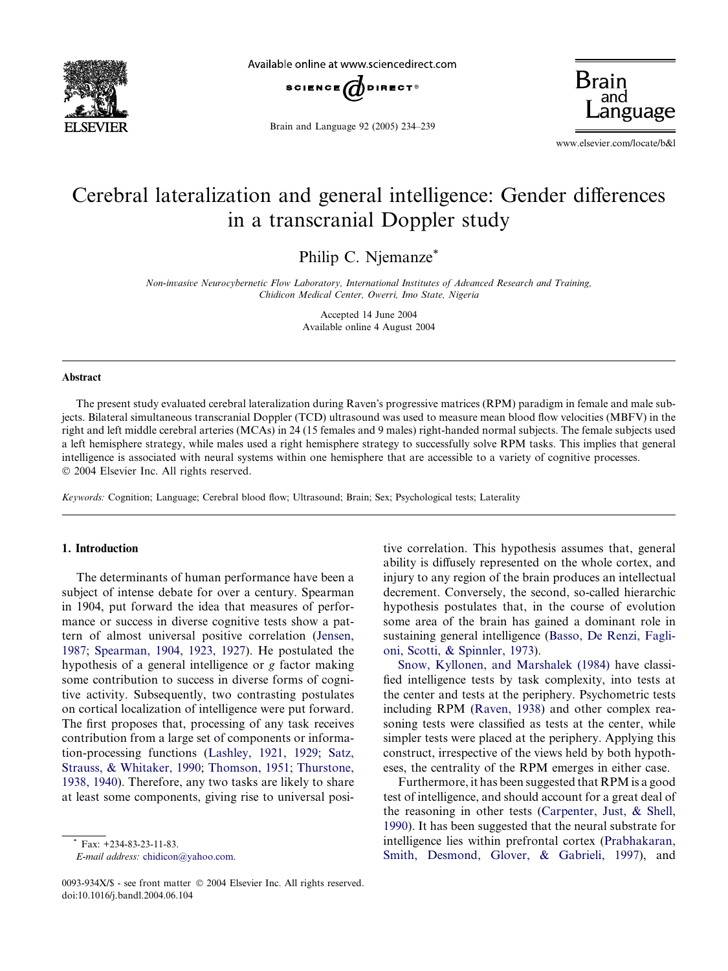

Available online at www.sciencedirect.com



Brain and Language 92 (2005) 234–239

**Brair** anguage

www.elsevier.com/locate/b&l

# Cerebral lateralization and general intelligence: Gender differences in a transcranial Doppler study

Philip C. Njemanze\*

Non-invasive Neurocybernetic Flow Laboratory, International Institutes of Advanced Research and Training, Chidicon Medical Center, Owerri, Imo State, Nigeria

> Accepted 14 June 2004 Available online 4 August 2004

#### Abstract

The present study evaluated cerebral lateralization during Raven's progressive matrices (RPM) paradigm in female and male subjects. Bilateral simultaneous transcranial Doppler (TCD) ultrasound was used to measure mean blood flow velocities (MBFV) in the right and left middle cerebral arteries (MCAs) in 24 (15 females and 9 males) right-handed normal subjects. The female subjects used a left hemisphere strategy, while males used a right hemisphere strategy to successfully solve RPM tasks. This implies that general intelligence is associated with neural systems within one hemisphere that are accessible to a variety of cognitive processes. 2004 Elsevier Inc. All rights reserved.

Keywords: Cognition; Language; Cerebral blood flow; Ultrasound; Brain; Sex; Psychological tests; Laterality

### 1. Introduction

The determinants of human performance have been a subject of intense debate for over a century. Spearman in 1904, put forward the idea that measures of performance or success in diverse cognitive tests show a pattern of almost universal positive correlation [\(Jensen,](#page--1-0) [1987;](#page--1-0) [Spearman, 1904, 1923, 1927\)](#page--1-0). He postulated the hypothesis of a general intelligence or g factor making some contribution to success in diverse forms of cognitive activity. Subsequently, two contrasting postulates on cortical localization of intelligence were put forward. The first proposes that, processing of any task receives contribution from a large set of components or information-processing functions [\(Lashley, 1921, 1929](#page--1-0); [Satz,](#page--1-0) [Strauss, & Whitaker, 1990](#page--1-0); [Thomson, 1951](#page--1-0); [Thurstone,](#page--1-0) [1938, 1940](#page--1-0)). Therefore, any two tasks are likely to share at least some components, giving rise to universal posi-

E-mail address: [chidicon@yahoo.com.](mailto:chidicon@yahoo.com.)

tive correlation. This hypothesis assumes that, general ability is diffusely represented on the whole cortex, and injury to any region of the brain produces an intellectual decrement. Conversely, the second, so-called hierarchic hypothesis postulates that, in the course of evolution some area of the brain has gained a dominant role in sustaining general intelligence [\(Basso, De Renzi, Fagli](#page--1-0)[oni, Scotti, & Spinnler, 1973\)](#page--1-0).

[Snow, Kyllonen, and Marshalek \(1984\)](#page--1-0) have classified intelligence tests by task complexity, into tests at the center and tests at the periphery. Psychometric tests including RPM [\(Raven, 1938](#page--1-0)) and other complex reasoning tests were classified as tests at the center, while simpler tests were placed at the periphery. Applying this construct, irrespective of the views held by both hypotheses, the centrality of the RPM emerges in either case.

Furthermore, it has been suggested that RPM is a good test of intelligence, and should account for a great deal of the reasoning in other tests ([Carpenter, Just, & Shell,](#page--1-0) [1990\)](#page--1-0). It has been suggested that the neural substrate for intelligence lies within prefrontal cortex [\(Prabhakaran,](#page--1-0) [Smith, Desmond, Glover, & Gabrieli, 1997\)](#page--1-0), and

Fax: +234-83-23-11-83.

<sup>0093-934</sup>X/\$ - see front matter © 2004 Elsevier Inc. All rights reserved. doi:10.1016/j.bandl.2004.06.104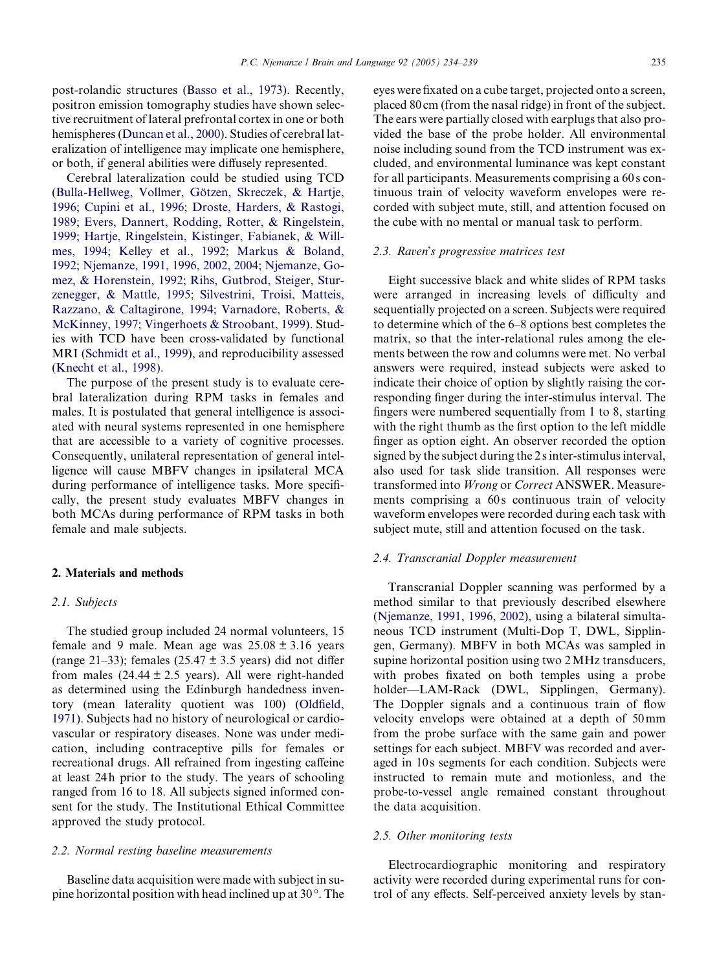post-rolandic structures ([Basso et al., 1973](#page--1-0)). Recently, positron emission tomography studies have shown selective recruitment of lateral prefrontal cortex in one or both hemispheres ([Duncan et al., 2000](#page--1-0)). Studies of cerebral lateralization of intelligence may implicate one hemisphere, or both, if general abilities were diffusely represented.

Cerebral lateralization could be studied using TCD (Bulla-Hellweg, Vollmer, Götzen, Skreczek, & Hartje, [1996](#page--1-0); [Cupini et al., 1996;](#page--1-0) [Droste, Harders, & Rastogi,](#page--1-0) [1989](#page--1-0); [Evers, Dannert, Rodding, Rotter, & Ringelstein,](#page--1-0) [1999](#page--1-0); [Hartje, Ringelstein, Kistinger, Fabianek, & Will](#page--1-0)[mes, 1994](#page--1-0); [Kelley et al., 1992;](#page--1-0) [Markus & Boland,](#page--1-0) [1992](#page--1-0); [Njemanze, 1991, 1996, 2002, 2004](#page--1-0); [Njemanze, Go](#page--1-0)[mez, & Horenstein, 1992;](#page--1-0) [Rihs, Gutbrod, Steiger, Stur](#page--1-0)[zenegger, & Mattle, 1995;](#page--1-0) [Silvestrini, Troisi, Matteis,](#page--1-0) [Razzano, & Caltagirone, 1994;](#page--1-0) [Varnadore, Roberts, &](#page--1-0) [McKinney, 1997](#page--1-0); [Vingerhoets & Stroobant, 1999](#page--1-0)). Studies with TCD have been cross-validated by functional MRI ([Schmidt et al., 1999\)](#page--1-0), and reproducibility assessed ([Knecht et al., 1998\)](#page--1-0).

The purpose of the present study is to evaluate cerebral lateralization during RPM tasks in females and males. It is postulated that general intelligence is associated with neural systems represented in one hemisphere that are accessible to a variety of cognitive processes. Consequently, unilateral representation of general intelligence will cause MBFV changes in ipsilateral MCA during performance of intelligence tasks. More specifically, the present study evaluates MBFV changes in both MCAs during performance of RPM tasks in both female and male subjects.

#### 2. Materials and methods

#### 2.1. Subjects

The studied group included 24 normal volunteers, 15 female and 9 male. Mean age was  $25.08 \pm 3.16$  years (range 21–33); females (25.47  $\pm$  3.5 years) did not differ from males  $(24.44 \pm 2.5 \text{ years})$ . All were right-handed as determined using the Edinburgh handedness inventory (mean laterality quotient was 100) ([Oldfield,](#page--1-0) [1971](#page--1-0)). Subjects had no history of neurological or cardiovascular or respiratory diseases. None was under medication, including contraceptive pills for females or recreational drugs. All refrained from ingesting caffeine at least 24 h prior to the study. The years of schooling ranged from 16 to 18. All subjects signed informed consent for the study. The Institutional Ethical Committee approved the study protocol.

#### 2.2. Normal resting baseline measurements

Baseline data acquisition were made with subject in supine horizontal position with head inclined up at  $30^\circ$ . The eyes were fixated on a cube target, projected onto a screen, placed 80 cm (from the nasal ridge) in front of the subject. The ears were partially closed with earplugs that also provided the base of the probe holder. All environmental noise including sound from the TCD instrument was excluded, and environmental luminance was kept constant for all participants. Measurements comprising a 60 s continuous train of velocity waveform envelopes were recorded with subject mute, still, and attention focused on the cube with no mental or manual task to perform.

#### 2.3. Raven's progressive matrices test

Eight successive black and white slides of RPM tasks were arranged in increasing levels of difficulty and sequentially projected on a screen. Subjects were required to determine which of the 6–8 options best completes the matrix, so that the inter-relational rules among the elements between the row and columns were met. No verbal answers were required, instead subjects were asked to indicate their choice of option by slightly raising the corresponding finger during the inter-stimulus interval. The fingers were numbered sequentially from 1 to 8, starting with the right thumb as the first option to the left middle finger as option eight. An observer recorded the option signed by the subject during the 2 s inter-stimulus interval, also used for task slide transition. All responses were transformed into Wrong or Correct ANSWER. Measurements comprising a 60s continuous train of velocity waveform envelopes were recorded during each task with subject mute, still and attention focused on the task.

### 2.4. Transcranial Doppler measurement

Transcranial Doppler scanning was performed by a method similar to that previously described elsewhere ([Njemanze, 1991, 1996, 2002\)](#page--1-0), using a bilateral simultaneous TCD instrument (Multi-Dop T, DWL, Sipplingen, Germany). MBFV in both MCAs was sampled in supine horizontal position using two 2MHz transducers, with probes fixated on both temples using a probe holder—LAM-Rack (DWL, Sipplingen, Germany). The Doppler signals and a continuous train of flow velocity envelops were obtained at a depth of 50mm from the probe surface with the same gain and power settings for each subject. MBFV was recorded and averaged in 10 s segments for each condition. Subjects were instructed to remain mute and motionless, and the probe-to-vessel angle remained constant throughout the data acquisition.

#### 2.5. Other monitoring tests

Electrocardiographic monitoring and respiratory activity were recorded during experimental runs for control of any effects. Self-perceived anxiety levels by stan-